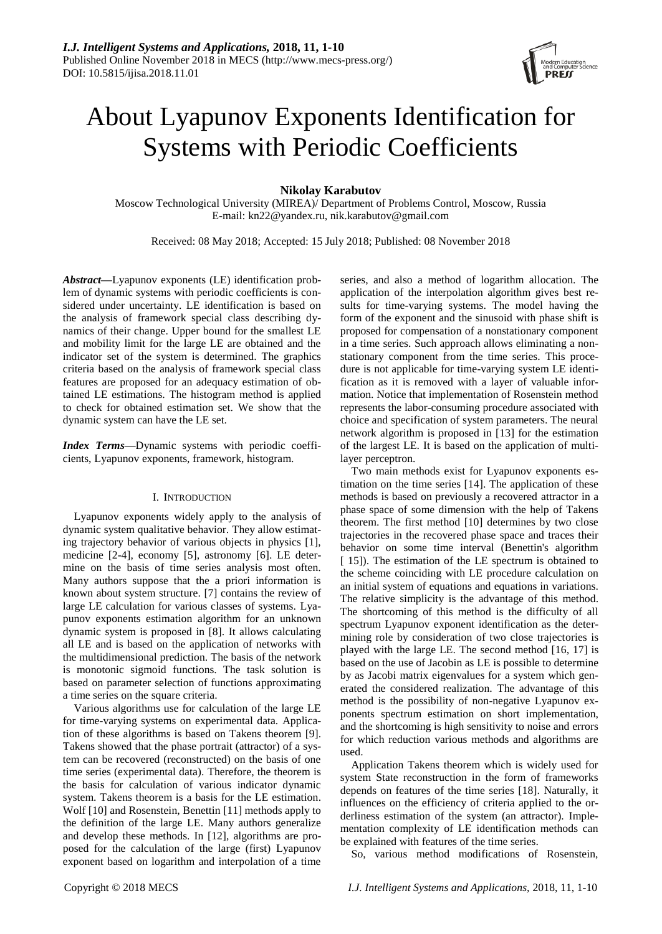

# About Lyapunov Exponents Identification for Systems with Periodic Coefficients

**Nikolay Karabutov**

Moscow Technological University (MIREA)/ Department of Problems Control, Moscow, Russia E-mail: kn22@yandex.ru, nik.karabutov@gmail.com

Received: 08 May 2018; Accepted: 15 July 2018; Published: 08 November 2018

*Abstract***—**Lyapunov exponents (LE) identification problem of dynamic systems with periodic coefficients is considered under uncertainty. LE identification is based on the analysis of framework special class describing dynamics of their change. Upper bound for the smallest LE and mobility limit for the large LE are obtained and the indicator set of the system is determined. The graphics criteria based on the analysis of framework special class features are proposed for an adequacy estimation of obtained LE estimations. The histogram method is applied to check for obtained estimation set. We show that the dynamic system can have the LE set.

*Index Terms***—**Dynamic systems with periodic coefficients, Lyapunov exponents, framework, histogram.

#### I. INTRODUCTION

Lyapunov exponents widely apply to the analysis of dynamic system qualitative behavior. They allow estimating trajectory behavior of various objects in physics [1], medicine [2-4], economy [5], astronomy [6]. LE determine on the basis of time series analysis most often. Many authors suppose that the a priori information is known about system structure. [7] contains the review of large LE calculation for various classes of systems. Lyapunov exponents estimation algorithm for an unknown dynamic system is proposed in [8]. It allows calculating all LE and is based on the application of networks with the multidimensional prediction. The basis of the network is monotonic sigmoid functions. The task solution is based on parameter selection of functions approximating a time series on the square criteria.

Various algorithms use for calculation of the large LE for time-varying systems on experimental data. Application of these algorithms is based on Takens theorem [9]. Takens showed that the phase portrait (attractor) of a system can be recovered (reconstructed) on the basis of one time series (experimental data). Therefore, the theorem is the basis for calculation of various indicator dynamic system. Takens theorem is a basis for the LE estimation. Wolf [10] and Rosenstein, Benettin [11] methods apply to the definition of the large LE. Many authors generalize and develop these methods. In [12], algorithms are proposed for the calculation of the large (first) Lyapunov exponent based on logarithm and interpolation of a time series, and also a method of logarithm allocation. The application of the interpolation algorithm gives best results for time-varying systems. The model having the form of the exponent and the sinusoid with phase shift is proposed for compensation of a nonstationary component in a time series. Such approach allows eliminating a nonstationary component from the time series. This procedure is not applicable for time-varying system LE identification as it is removed with a layer of valuable information. Notice that implementation of Rosenstein method represents the labor-consuming procedure associated with choice and specification of system parameters. The neural network algorithm is proposed in [13] for the estimation of the largest LE. It is based on the application of multilayer perceptron.

Two main methods exist for Lyapunov exponents estimation on the time series [14]. The application of these methods is based on previously a recovered attractor in a phase space of some dimension with the help of Takens theorem. The first method [10] determines by two close trajectories in the recovered phase space and traces their behavior on some time interval (Benettin's algorithm [ 15]). The estimation of the LE spectrum is obtained to the scheme coinciding with LE procedure calculation on an initial system of equations and equations in variations. The relative simplicity is the advantage of this method. The shortcoming of this method is the difficulty of all spectrum Lyapunov exponent identification as the determining role by consideration of two close trajectories is played with the large LE. The second method [16, 17] is based on the use of Jacobin as LE is possible to determine by as Jacobi matrix eigenvalues for a system which generated the considered realization. The advantage of this method is the possibility of non-negative Lyapunov exponents spectrum estimation on short implementation, and the shortcoming is high sensitivity to noise and errors for which reduction various methods and algorithms are used.

Application Takens theorem which is widely used for system State reconstruction in the form of frameworks depends on features of the time series [18]. Naturally, it influences on the efficiency of criteria applied to the orderliness estimation of the system (an attractor). Implementation complexity of LE identification methods can be explained with features of the time series.

So, various method modifications of Rosenstein,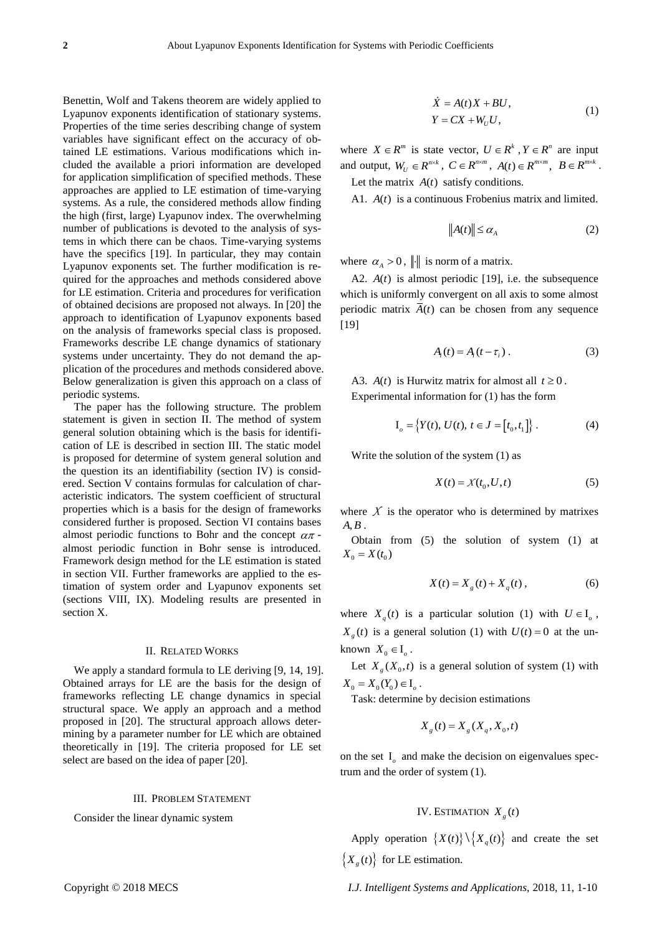Benettin, Wolf and Takens theorem are widely applied to Lyapunov exponents identification of stationary systems. Properties of the time series describing change of system variables have significant effect on the accuracy of obtained LE estimations. Various modifications which included the available a priori information are developed for application simplification of specified methods. These approaches are applied to LE estimation of time-varying systems. As a rule, the considered methods allow finding the high (first, large) Lyapunov index. The overwhelming number of publications is devoted to the analysis of systems in which there can be chaos. Time-varying systems have the specifics [19]. In particular, they may contain Lyapunov exponents set. The further modification is required for the approaches and methods considered above for LE estimation. Criteria and procedures for verification of obtained decisions are proposed not always. In [20] the approach to identification of Lyapunov exponents based on the analysis of frameworks special class is proposed. Frameworks describe LE change dynamics of stationary systems under uncertainty. They do not demand the application of the procedures and methods considered above. Below generalization is given this approach on a class of periodic systems.

The paper has the following structure. The problem statement is given in section II. The method of system general solution obtaining which is the basis for identification of LE is described in section III. The static model is proposed for determine of system general solution and the question its an identifiability (section IV) is considered. Section V contains formulas for calculation of characteristic indicators. The system coefficient of structural properties which is a basis for the design of frameworks considered further is proposed. Section VI contains bases almost periodic functions to Bohr and the concept  $\alpha\pi$  almost periodic function in Bohr sense is introduced. Framework design method for the LE estimation is stated in section VII. Further frameworks are applied to the estimation of system order and Lyapunov exponents set (sections VIII, IX). Modeling results are presented in section X.

#### II. RELATED WORKS

We apply a standard formula to LE deriving [9, 14, 19]. Obtained arrays for LE are the basis for the design of frameworks reflecting LE change dynamics in special structural space. We apply an approach and a method proposed in [20]. The structural approach allows determining by a parameter number for LE which are obtained theoretically in [19]. The criteria proposed for LE set select are based on the idea of paper [20].

#### III. PROBLEM STATEMENT

Consider the linear dynamic system

$$
\dot{X} = A(t)X + BU,
$$
  
\n
$$
Y = CX + W_UU,
$$
\n(1)

where  $X \in \mathbb{R}^m$  is state vector,  $U \in \mathbb{R}^k$ ,  $Y \in \mathbb{R}^n$  are input and output,  $W_U \in R^{n \times k}$ ,  $C \in R^{n \times m}$ ,  $A(t) \in R^{m \times m}$ ,  $B \in R^{m \times k}$ . Let the matrix  $A(t)$  satisfy conditions.

A1. *A*(*t*) is a continuous Frobenius matrix and limited.

$$
||A(t)|| \le \alpha_A \tag{2}
$$

where  $\alpha_A > 0$ , || is norm of a matrix.

A2.  $A(t)$  is almost periodic [19], i.e. the subsequence which is uniformly convergent on all axis to some almost periodic matrix  $A(t)$  can be chosen from any sequence [19]

$$
A_i(t) = A_i(t - \tau_i).
$$
 (3)

A3.  $A(t)$  is Hurwitz matrix for almost all  $t \ge 0$ . Experimental information for (1) has the form

$$
I_o = \{ Y(t), \, U(t), \, t \in J = [t_0, t_1] \} \, . \tag{4}
$$

Write the solution of the system (1) as

$$
X(t) = X(t_0, U, t) \tag{5}
$$

where  $X$  is the operator who is determined by matrixes *AB*, .

Obtain from (5) the solution of system (1) at  $X_0 = X(t_0)$ 

$$
X(t) = X_g(t) + X_q(t) ,
$$
 (6)

where  $X_q(t)$  is a particular solution (1) with  $U \in I_o$ ,  $X_g(t)$  is a general solution (1) with  $U(t) = 0$  at the unknown  $X_0 \in I_\rho$ .

Let  $X_g(X_0,t)$  is a general solution of system (1) with  $X_0 = X_0(Y_0) \in I_\rho$ .

Task: determine by decision estimations

$$
X_{g}(t) = X_{g}(X_{q}, X_{0}, t)
$$

on the set  $I<sub>o</sub>$  and make the decision on eigenvalues spectrum and the order of system (1).

## IV. ESTIMATION  $X_g(t)$

Apply operation  $\{X(t)\}\setminus \{X_q(t)\}\$  and create the set  $\{X_{g}(t)\}\$  for LE estimation.

Copyright © 2018 MECS *I.J. Intelligent Systems and Applications,* 2018, 11, 1-10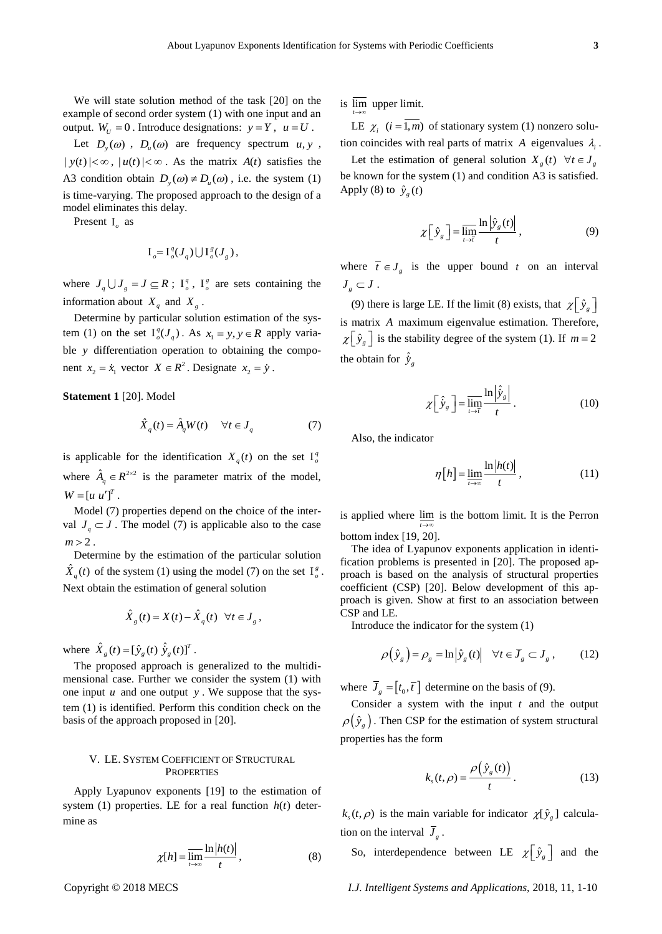We will state solution method of the task [20] on the example of second order system (1) with one input and an output.  $W_U = 0$ . Introduce designations:  $y = Y$ ,  $u = U$ .

Let  $D_y(\omega)$ ,  $D_u(\omega)$  are frequency spectrum  $u, y$ ,  $|y(t)| < \infty$ ,  $|u(t)| < \infty$ . As the matrix  $A(t)$  satisfies the A3 condition obtain  $D_y(\omega) \neq D_u(\omega)$ , i.e. the system (1) is time-varying. The proposed approach to the design of a model eliminates this delay.

Present I<sub>o</sub> as

$$
I_o = I_o^q(J_q) \bigcup I_o^g(J_g)
$$
,

where  $J_q \cup J_g = J \subseteq R$ ;  $I_q^q$ ,  $I_g^g$  are sets containing the information about  $X_q$  and  $X_g$ .

Determine by particular solution estimation of the system (1) on the set  $I_o^q(J_q)$ . As  $x_1 = y, y \in R$  apply variable *y* differentiation operation to obtaining the component  $x_2 = \dot{x}_1$  vector  $X \in \mathbb{R}^2$ . Designate  $x_2 = \dot{y}$ .

**Statement 1** [20]. Model

$$
\hat{X}_q(t) = \hat{A}_q W(t) \quad \forall t \in J_q \tag{7}
$$

is applicable for the identification  $X_q(t)$  on the set  $I_q^q$ where  $\hat{A}_q \in R^{2 \times 2}$  is the parameter matrix of the model,  $W = [u \ u']^{T}.$ 

Model (7) properties depend on the choice of the interval  $J_q \subset J$ . The model (7) is applicable also to the case  $m > 2$ .

Determine by the estimation of the particular solution  $\hat{X}_q(t)$  of the system (1) using the model (7) on the set  $I^s_\rho$ . Next obtain the estimation of general solution

$$
\hat{X}_g(t) = X(t) - \hat{X}_g(t) \quad \forall t \in J_g,
$$

where  $\hat{X}_g(t) = [\hat{y}_g(t) \hat{y}_g(t)]^T$ .

The proposed approach is generalized to the multidimensional case. Further we consider the system (1) with one input *u* and one output *y* . We suppose that the system (1) is identified. Perform this condition check on the basis of the approach proposed in [20].

## V. LE. SYSTEM COEFFICIENT OF STRUCTURAL **PROPERTIES**

Apply Lyapunov exponents [19] to the estimation of system  $(1)$  properties. LE for a real function  $h(t)$  determine as

$$
\chi[h] = \overline{\lim_{t \to \infty}} \frac{\ln|h(t)|}{t}, \tag{8}
$$

is lim upper limit. *t* →∞

LE  $\chi_i$  (*i* = 1,*m*) of stationary system (1) nonzero solution coincides with real parts of matrix  $A$  eigenvalues  $\lambda_i$ .

Let the estimation of general solution  $X_g(t)$   $\forall t \in J_g$ be known for the system (1) and condition A3 is satisfied. Apply (8) to  $\hat{y}_g(t)$ 

$$
\chi\left[\hat{y}_g\right] = \overline{\lim_{t \to \tau}} \frac{\ln\left|\hat{y}_g(t)\right|}{t},\tag{9}
$$

where  $\overline{t} \in J_g$  is the upper bound *t* on an interval  $J_{g} \subset J$  .

(9) there is large LE. If the limit (8) exists, that  $\chi \left[ \hat{y}_g \right]$ is matrix *A* maximum eigenvalue estimation. Therefore,  $\chi\left[\hat{y}_g\right]$  is the stability degree of the system (1). If  $m=2$ the obtain for  $\hat{y}_g$ 

$$
\chi \left[ \hat{y}_s \right] = \overline{\lim_{t \to \bar{\tau}}} \frac{\ln \left| \hat{y}_s \right|}{t} . \tag{10}
$$

ˆ

Also, the indicator

$$
\eta[h] = \lim_{t \to \infty} \frac{\ln|h(t)|}{t},\tag{11}
$$

is applied where  $\lim_{h \to 0}$  is the bottom limit. It is the Perron *t* → ∞ bottom index [19, 20].

The idea of Lyapunov exponents application in identification problems is presented in [20]. The proposed approach is based on the analysis of structural properties coefficient (CSP) [20]. Below development of this ap-

proach is given. Show at first to an association between CSP and LE.

Introduce the indicator for the system (1)

$$
\rho\left(\hat{y}_g\right) = \rho_g = \ln\left|\hat{y}_g(t)\right| \quad \forall t \in \overline{J}_g \subset J_g \,,\tag{12}
$$

where  $\overline{J}_g = [t_0, \overline{t}]$  determine on the basis of (9).

Consider a system with the input *t* and the output  $\varphi(\hat{y}_g)$ . Then CSP for the estimation of system structural properties has the form

$$
k_s(t,\rho) = \frac{\rho(\hat{y}_s(t))}{t}.
$$
 (13)

 $k_s(t, \rho)$  is the main variable for indicator  $\chi[\hat{y}_s]$  calculation on the interval  $J<sub>g</sub>$ .

So, interdependence between LE  $\chi \left[ \hat{y}_g \right]$  and the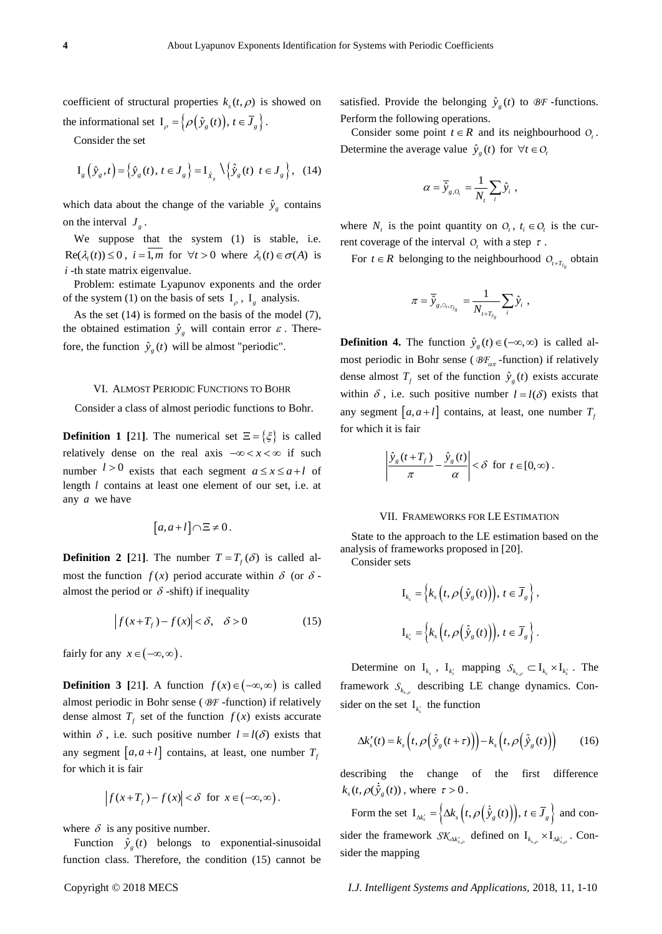coefficient of structural properties  $k_s(t, \rho)$  is showed on the informational set  $I_{\rho} = \left\{ \rho \left( \hat{y}_g(t) \right), t \in \overline{J}_g \right\}.$ 

Consider the set

$$
\mathbf{I}_{g}\left(\hat{\mathbf{y}}_{g},t\right) = \left\{\hat{\mathbf{y}}_{g}\left(t\right),\,t\in\mathbf{J}_{g}\right\} = \mathbf{I}_{\hat{\mathbf{x}}_{g}}\setminus\left\{\hat{\hat{\mathbf{y}}}_{g}\left(t\right)\,t\in\mathbf{J}_{g}\right\},\tag{14}
$$

which data about the change of the variable  $\hat{y}_g$  contains on the interval  $J_g$ .

We suppose that the system (1) is stable, i.e.  $\text{Re}(\lambda_i(t)) \leq 0$ ,  $i = 1, m$  for  $\forall t > 0$  where  $\lambda_i(t) \in \sigma(A)$  is *i* -th state matrix eigenvalue.

Problem: estimate Lyapunov exponents and the order of the system (1) on the basis of sets  $I_{\rho}$ ,  $I_{g}$  analysis.

As the set (14) is formed on the basis of the model (7), the obtained estimation  $\hat{y}_g$  will contain error  $\varepsilon$ . Therefore, the function  $\hat{y}_g(t)$  will be almost "periodic".

## VI. ALMOST PERIODIC FUNCTIONS TO BOHR

Consider a class of almost periodic functions to Bohr.

**Definition 1 [21].** The numerical set  $\Xi = \{\xi\}$  is called relatively dense on the real axis  $-\infty < x < \infty$  if such number  $l > 0$  exists that each segment  $a \le x \le a + l$  of length *l* contains at least one element of our set, i.e. at any *a* we have

$$
[a, a+l] \cap \Xi \neq 0.
$$

**Definition 2** [21]. The number  $T = T_f(\delta)$  is called almost the function  $f(x)$  period accurate within  $\delta$  (or  $\delta$ almost the period or  $\delta$  -shift) if inequality

$$
\left| f(x+T_f) - f(x) \right| < \delta, \quad \delta > 0 \tag{15}
$$

fairly for any  $x \in (-\infty, \infty)$ .

**Definition 3** [21]. A function  $f(x) \in (-\infty, \infty)$  is called almost periodic in Bohr sense ( *BF* -function) if relatively dense almost  $T_f$  set of the function  $f(x)$  exists accurate within  $\delta$ , i.e. such positive number  $l = l(\delta)$  exists that any segment  $[a, a+l]$  contains, at least, one number  $T_f$ for which it is fair

$$
\left|f(x+T_f)-f(x)\right|<\delta\ \ \text{for}\ \ x\in\left(-\infty,\infty\right).
$$

where  $\delta$  is any positive number.

Function  $\hat{y}_g(t)$  belongs to exponential-sinusoidal function class. Therefore, the condition (15) cannot be

satisfied. Provide the belonging 
$$
\hat{y}_g(t)
$$
 to  $\mathcal{B}F$  -functions.  
Perform the following operations.

Consider some point  $t \in R$  and its neighbourhood  $O_t$ . Determine the average value  $\hat{y}_g(t)$  for  $\forall t \in O$ 

$$
\alpha = \overline{\hat{y}}_{g,O_t} = \frac{1}{N_t} \sum_i \hat{y}_i,
$$

where  $N_t$  is the point quantity on  $O_t$ ,  $t_i \in O_t$  is the current coverage of the interval  $O_t$  with a step  $\tau$ .

For  $t \in R$  belonging to the neighbourhood  $O_{t+T_{\hat{y}_g}}$  obtain

$$
\pi = \overline{\hat{y}}_{g,\circ_{i \cdot \tau_{\hat{y}_g}}} = \frac{1}{N_{i \cdot \tau_{\hat{y}_g}}} \sum_i \hat{y}_i,
$$

**Definition 4.** The function  $\hat{y}_g(t) \in (-\infty, \infty)$  is called almost periodic in Bohr sense ( $\mathcal{B}F_{\alpha\pi}$ -function) if relatively dense almost  $T_f$  set of the function  $\hat{y}_g(t)$  exists accurate within  $\delta$ , i.e. such positive number  $l = l(\delta)$  exists that any segment  $[a, a+l]$  contains, at least, one number  $T_f$ for which it is fair

$$
\left|\frac{\hat{y}_g(t+T_f)}{\pi} - \frac{\hat{y}_g(t)}{\alpha}\right| < \delta \ \ \text{for} \ \ t \in [0,\infty) .
$$

#### VII. FRAMEWORKS FOR LE ESTIMATION

State to the approach to the LE estimation based on the analysis of frameworks proposed in [20].

Consider sets

$$
\mathbf{I}_{k_s} = \Big\{ k_s \Big( t, \rho \Big( \hat{\mathbf{y}}_g(t) \Big) \Big), t \in \overline{J}_g \Big\},\,
$$
  

$$
\mathbf{I}_{k'_s} = \Big\{ k_s \Big( t, \rho \Big( \hat{\mathbf{y}}_g(t) \Big) \Big), t \in \overline{J}_g \Big\}.
$$

Determine on  $I_{k_s}$ ,  $I_{k'_s}$  mapping  $S_{k_{s,\rho}} \subset I_{k_s} \times I_{k'_s}$ . The framework  $S_{k_{s,p}}$  describing LE change dynamics. Consider on the set  $I_{k'_s}$  the function

$$
\Delta k'_{s}(t) = k_{s} \left( t, \rho \left( \hat{y}_{g}(t+\tau) \right) \right) - k_{s} \left( t, \rho \left( \hat{y}_{g}(t) \right) \right) \tag{16}
$$

describing the change of the first difference  $k_s(t, \rho(\hat{y}_s(t)),$  where  $\tau > 0$ .

Form the set  $I_{\Delta k'_s} = \left\{ \Delta k_s \left( t, \rho \left( \dot{\hat{y}}_g(t) \right) \right), t \in \overline{J}_g \right\}$  and consider the framework  $\mathcal{SK}_{\Delta k'_{s,\rho}}$  defined on  $I_{k_{s,\rho}} \times I_{\Delta k'_{s,\rho}}$ . Consider the mapping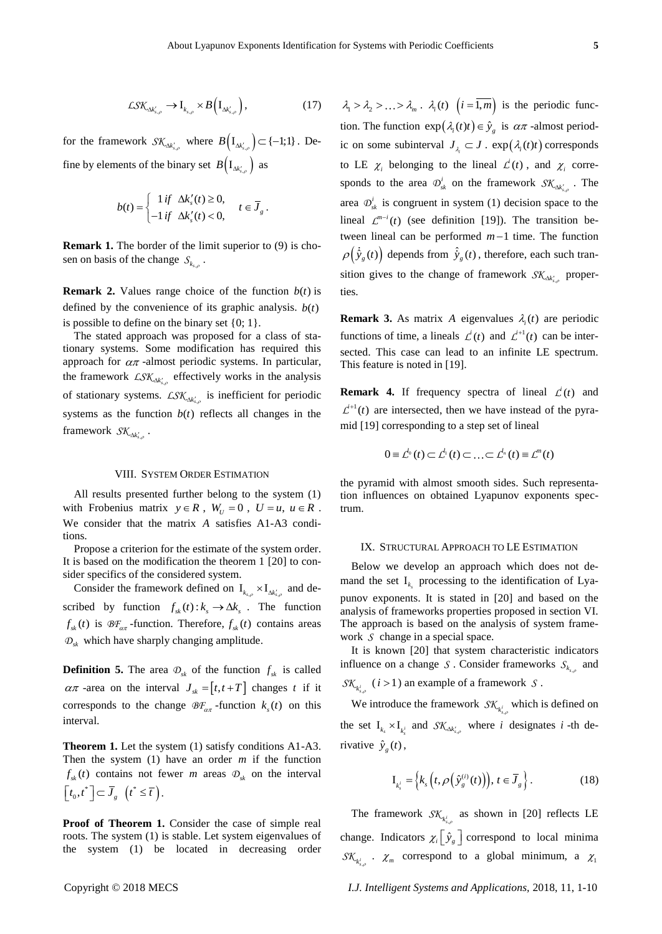$$
\mathcal{L} \mathcal{S} \mathcal{K}_{\Delta k'_{s,\rho}} \to I_{k_{s,\rho}} \times B\left(I_{\Delta k'_{s,\rho}}\right),\tag{17}
$$

for the framework  $SK_{\Delta k'_{s,\rho}}$  where  $B(I_{\Delta k'_{s,\rho}}) \subset \{-1,1\}$ . Define by elements of the binary set  $B(I_{\Delta k'_{s,\rho}})$  as

$$
b(t) = \begin{cases} 1 \text{ if } \Delta k'_s(t) \ge 0, \\ -1 \text{ if } \Delta k'_s(t) < 0, \end{cases} t \in \overline{J}_g.
$$

**Remark 1.** The border of the limit superior to (9) is chosen on basis of the change  $S_{k_{s,\rho}}$ .

**Remark 2.** Values range choice of the function  $b(t)$  is defined by the convenience of its graphic analysis.  $b(t)$ is possible to define on the binary set  $\{0, 1\}$ .

The stated approach was proposed for a class of stationary systems. Some modification has required this approach for  $\alpha\pi$ -almost periodic systems. In particular, the framework  $LSK_{\Delta k'_{s,p}}$  effectively works in the analysis of stationary systems.  $LSK_{\Delta k'_{s,\rho}}$  is inefficient for periodic systems as the function  $b(t)$  reflects all changes in the framework  $S\mathcal{K}_{\Delta k'_{s,\rho}}$ .

#### VIII. SYSTEM ORDER ESTIMATION

All results presented further belong to the system (1) with Frobenius matrix  $y \in R$ ,  $W_U = 0$ ,  $U = u$ ,  $u \in R$ . We consider that the matrix *A* satisfies A1-A3 conditions.

Propose a criterion for the estimate of the system order. It is based on the modification the theorem 1 [20] to consider specifics of the considered system.

Consider the framework defined on  $I_{k_{s,\rho}} \times I_{\Delta k'_{s,\rho}}$  and described by function  $f_{sk}(t) : k_s \to \Delta k_s$ . The function  $f_{sk}(t)$  is  $\mathcal{B}F_{\alpha\pi}$ -function. Therefore,  $f_{sk}(t)$  contains areas  $D_{sk}$  which have sharply changing amplitude.

**Definition 5.** The area  $\mathcal{D}_{sk}$  of the function  $f_{sk}$  is called  $\alpha \pi$  -area on the interval  $J_{sk} = [t, t + T]$  changes t if it corresponds to the change  $\mathcal{BF}_{\alpha\pi}$ -function  $k_s(t)$  on this interval.

**Theorem 1.** Let the system (1) satisfy conditions A1-A3. Then the system  $(1)$  have an order  $m$  if the function  $f_{sk}(t)$  contains not fewer *m* areas  $\mathcal{D}_{sk}$  on the interval  $\left[t_0,t^*\right] \subset \overline{J}_g \ \left(t^*\leq \overline{t}\right).$ 

**Proof of Theorem 1.** Consider the case of simple real roots. The system (1) is stable. Let system eigenvalues of the system (1) be located in decreasing order

EXR  $x_{ij} = A_{ij} \times B_{ij} I_{ij}$ , (3)  $\lambda \ge \lambda \lambda \dots \ge \lambda$ ,  $\lambda \ge 0$  (*i* a finite protocolic line protocolic line protocolic line protocolic line protocolic line protocolic line (*i*, a bit is polynomy change of the finance of  $x_{ij$  $\lambda_1 > \lambda_2 > \ldots > \lambda_m$ .  $\lambda_i(t)$   $(i = 1, m)$  is the periodic function. The function  $\exp(\lambda_i(t)t) \in \hat{y}_s$  is  $\alpha \pi$ -almost periodic on some subinterval  $J_{\lambda_i} \subset J$ .  $\exp(\lambda_i(t)t)$  corresponds to LE  $\chi_i$  belonging to the lineal  $\mathcal{L}^i(t)$ , and  $\chi_i$  corresponds to the area  $\mathcal{D}_{sk}^i$  on the framework  $\mathcal{SK}_{\Delta k'_{s,\rho}}$ . The area  $\mathcal{D}_{sk}^{i}$  is congruent in system (1) decision space to the lineal  $\mathcal{L}^{m-i}(t)$  (see definition [19]). The transition between lineal can be performed  $m-1$  time. The function  $\rho\big(\dot{\tilde{y}}_s(t)\big)$  depends from  $\hat{\tilde{y}}_s(t)$ , therefore, each such transition gives to the change of framework  $\mathcal{SK}_{\Delta k'_{s,\rho}}$  properties.

**Remark 3.** As matrix A eigenvalues  $\lambda_i(t)$  are periodic functions of time, a lineals  $\mathcal{L}^{i}(t)$  and  $\mathcal{L}^{i+1}(t)$  can be intersected. This case can lead to an infinite LE spectrum. This feature is noted in [19].

**Remark 4.** If frequency spectra of lineal  $\mathcal{L}^i(t)$  and  $\mathcal{L}^{+1}(t)$  are intersected, then we have instead of the pyramid [19] corresponding to a step set of lineal

$$
0 = \mathcal{L}^{l_0}(t) \subset \mathcal{L}^{l_1}(t) \subset \ldots \subset \mathcal{L}^{l_n}(t) \equiv \mathcal{L}^{m}(t)
$$

the pyramid with almost smooth sides. Such representation influences on obtained Lyapunov exponents spectrum.

#### IX. STRUCTURAL APPROACH TO LE ESTIMATION

Below we develop an approach which does not demand the set  $I_{k_s}$  processing to the identification of Lyapunov exponents. It is stated in [20] and based on the analysis of frameworks properties proposed in section VI. The approach is based on the analysis of system framework *S* change in a special space.

It is known [20] that system characteristic indicators influence on a change *S*. Consider frameworks  $S_{k_{s,p}}$  and  $SK_{k_{s,p}^{i}}$  (*i* > 1) an example of a framework *S*.

We introduce the framework  $\mathcal{SK}_{k_{s,p}^{i}}$  which is defined on the set  $I_{k_s} \times I_{k_s^i}$  and  $SK_{\Delta k_s^i, \rho}$  where *i* designates *i* -th derivative  $\hat{y}_g(t)$ ,

$$
\mathbf{I}_{k_s^i} = \left\{ k_s \left( t, \rho \left( \hat{\mathbf{y}}_s^{(i)}(t) \right) \right), t \in \overline{J}_s \right\}.
$$
 (18)

The framework  $\mathcal{SK}_{k_{s,p}^{i}}$  as shown in [20] reflects LE change. Indicators  $\chi_i \left[ \hat{y}_g \right]$  correspond to local minima  $\mathcal{SK}_{k_{s,p}^{i}}$  .  $\chi_{m}$  correspond to a global minimum, a  $\chi_{1}$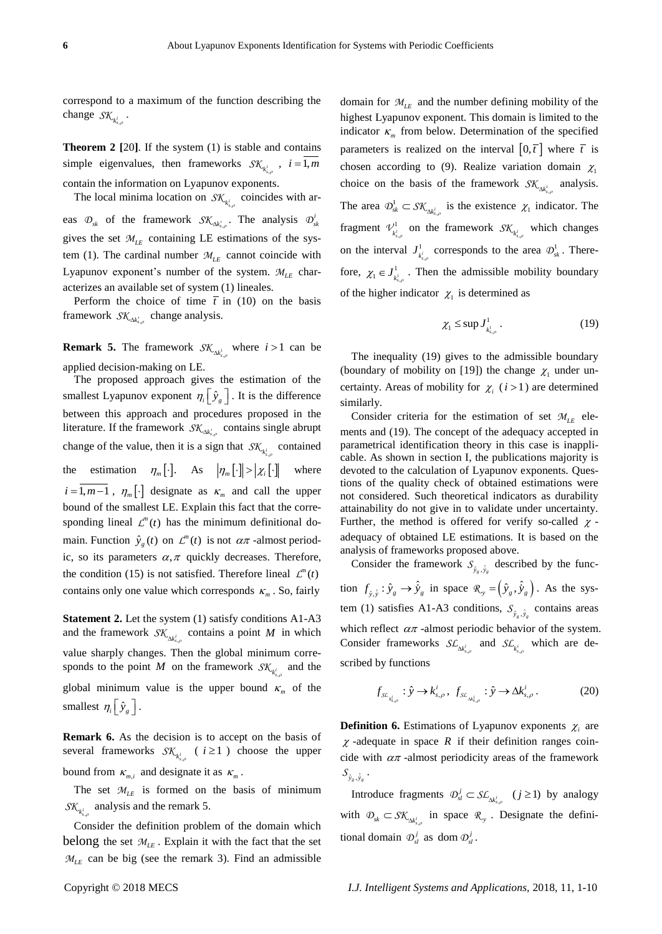correspond to a maximum of the function describing the change  $S\mathcal{K}_{k_{s,\rho}^i}$ .

**Theorem 2 [**20**]**. If the system (1) is stable and contains simple eigenvalues, then frameworks  $\mathcal{SK}_{k_{s,p}^{i}}$ ,  $i = 1, m$ contain the information on Lyapunov exponents.

The local minima location on  $\mathcal{SK}_{k_{s,p}^{i}}$  coincides with areas  $\mathcal{D}_{sk}$  of the framework  $\mathcal{SK}_{\Delta k'_{s,\rho}}$ . The analysis  $\mathcal{D}_{sk}^i$ gives the set  $M_{LE}$  containing LE estimations of the system (1). The cardinal number  $M_{LE}$  cannot coincide with Lyapunov exponent's number of the system.  $M_{LE}$  characterizes an available set of system (1) lineales.

Perform the choice of time  $\bar{t}$  in (10) on the basis framework  $\mathcal{SK}_{\Delta k'_{s,\rho}}$  change analysis.

**Remark 5.** The framework  $SK_{\Delta k_{s,p}^{i}}$  where  $i > 1$  can be applied decision-making on LE.

The proposed approach gives the estimation of the smallest Lyapunov exponent  $\eta_i \left[ \hat{y}_g \right]$ . It is the difference between this approach and procedures proposed in the literature. If the framework  $\mathcal{SK}_{\Delta k'_{s,\rho}}$  contains single abrupt change of the value, then it is a sign that  $\mathcal{SK}_{k_{s,p}^{i}}$  contained the estimation  $\eta_m[\cdot]$ . As  $|\eta_m[\cdot]| > |\chi_i[\cdot]|$ where  $i = 1, m-1$ ,  $\eta_m$ [·] designate as  $\kappa_m$  and call the upper bound of the smallest LE. Explain this fact that the corresponding lineal  $\mathcal{L}^m(t)$  has the minimum definitional domain. Function  $\hat{y}_g(t)$  on  $\mathcal{L}^m(t)$  is not  $\alpha\pi$ -almost periodic, so its parameters  $\alpha$ ,  $\pi$  quickly decreases. Therefore, the condition (15) is not satisfied. Therefore lineal  $\mathcal{L}^m(t)$ contains only one value which corresponds  $\kappa_m$ . So, fairly

**Statement 2.** Let the system (1) satisfy conditions A1-A3 and the framework  $\mathcal{SK}_{\Delta k_{s,\rho}^i}$  contains a point M in which value sharply changes. Then the global minimum corresponds to the point *M* on the framework  $\mathcal{SK}_{k_{s,o}^{i}}$  and the global minimum value is the upper bound  $\kappa_m$  of the smallest  $\eta_i \left[ \hat{y}_g \right]$ .

**Remark 6.** As the decision is to accept on the basis of several frameworks  $\mathcal{SK}_{k_{s,\rho}^i}$  ( $i \geq 1$ ) choose the upper bound from  $\kappa_{m,i}$  and designate it as  $\kappa_m$ .

The set  $M_{LE}$  is formed on the basis of minimum  $SK_{k_{s,p}^{i}}$  analysis and the remark 5.

Consider the definition problem of the domain which belong the set  $M_{LE}$ . Explain it with the fact that the set  $M_{LE}$  can be big (see the remark 3). Find an admissible

domain for  $M_{LE}$  and the number defining mobility of the highest Lyapunov exponent. This domain is limited to the indicator  $\kappa_m$  from below. Determination of the specified parameters is realized on the interval  $[0, \bar{t}]$  where  $\bar{t}$  is chosen according to (9). Realize variation domain  $\chi_1$ choice on the basis of the framework  $\mathcal{SK}_{\Delta k_{s,p}^i}$  analysis. The area  $\mathcal{D}_{sk}^1 \subset S\mathcal{K}_{\Delta k_s^i}$  $\mathcal{D}_{sk}^1 \subset \mathcal{SK}_{\Delta k_{s,\rho}^i}$  is the existence  $\chi_1$  indicator. The fragment  $\mathcal{V}^1_{k^i_{s,s}}$  $V^1_{\substack{k^i,\,\rho}}$  on the framework  $\mathcal{SK}_{\substack{k^i,\,\rho}}$  which changes on the interval  $J_{k_s}^1$  $J^1_{\substack{k_{s,p}^i}}$  corresponds to the area  $\mathcal{D}^1_{sk}$ . Thereρ fore,  $\chi_1 \in J^1_{k^i_s}$  $\chi_1 \in J^1_{\substack{k_i, \ldots, k_r}}$ . Then the admissible mobility boundary of the higher indicator  $\chi_1$  is determined as

$$
\chi_1 \leq \sup J^1_{k^i_{s,\rho}} \,. \tag{19}
$$

The inequality (19) gives to the admissible boundary (boundary of mobility on [19]) the change  $\chi_1$  under uncertainty. Areas of mobility for  $\chi_i$  ( $i > 1$ ) are determined similarly.

Consider criteria for the estimation of set  $M_{LE}$  elements and (19). The concept of the adequacy accepted in parametrical identification theory in this case is inapplicable. As shown in section I, the publications majority is devoted to the calculation of Lyapunov exponents. Questions of the quality check of obtained estimations were not considered. Such theoretical indicators as durability attainability do not give in to validate under uncertainty. Further, the method is offered for verify so-called  $\chi$ adequacy of obtained LE estimations. It is based on the analysis of frameworks proposed above.

Consider the framework  $S_{\hat{y}_g}, \hat{y}_g$  described by the function  $f_{\hat{y}, \hat{y}} : \hat{y}_g \to \hat{y}_g$  in space  $\mathcal{R}_y = (\hat{y}_g, \hat{y}_g)$ . As the system (1) satisfies A1-A3 conditions,  $S_{\hat{y}_g, \hat{y}_g}$  contains areas which reflect  $\alpha\pi$  -almost periodic behavior of the system. Consider frameworks  $SL_{\Delta k_{s,p}^i}$  and  $SL_{k_{s,p}^i}$  which are described by functions

$$
f_{\mathcal{S}\mathcal{L}_{k_{s,\rho}^i}} : \hat{y} \to k_{s,\rho}^i, \ f_{\mathcal{S}\mathcal{L}_{\mathcal{M}_{s,\rho}^i}} : \hat{y} \to \Delta k_{s,\rho}^i. \tag{20}
$$

**Definition 6.** Estimations of Lyapunov exponents  $\chi$ <sub>i</sub> are  $\chi$ -adequate in space R if their definition ranges coincide with  $\alpha\pi$ -almost periodicity areas of the framework  $\mathcal{S}_{\hat{y}_g, \hat{y}_g}$  .

Introduce fragments  $\mathcal{D}_{\mathit{sl}}^j \subset \mathit{SL}_{\Delta k_s^j}$  $\mathcal{D}_{\mathcal{S}_l}^j \subset \mathcal{SL}_{\Delta k_{\mathcal{S},\rho}^i}$  (*j* ≥ 1) by analogy with  $\mathcal{D}_{sk} \subset \mathcal{SK}_{\Delta k_{s,p}^i}$  in space  $\mathcal{R}_{\gamma}$ . Designate the definitional domain  $\mathcal{D}_{\mathfrak{sl}}^j$  as dom  $\mathcal{D}_{\mathfrak{sl}}^j$ .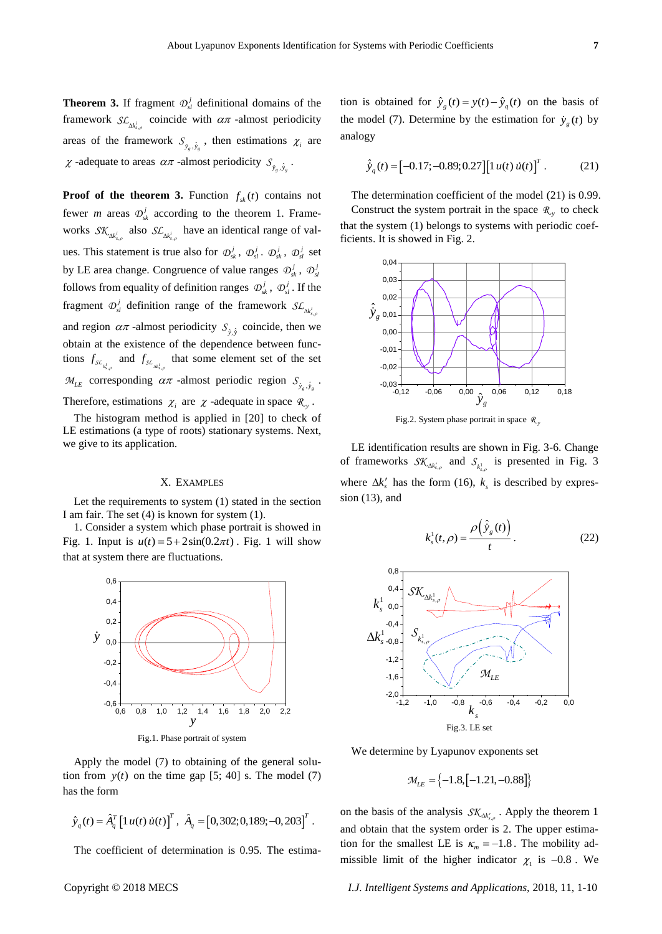**Theorem 3.** If fragment  $\mathcal{D}_{\text{sl}}^j$  definitional domains of the framework  $SL_{\Delta k_{s,p}^{i}}$  coincide with  $\alpha\pi$  -almost periodicity areas of the framework  $S_{\hat{y}_g, \hat{y}_g}$ , then estimations  $\chi_i$  are  $\chi$ -adequate to areas  $\alpha \pi$ -almost periodicity  $S_{\hat{y}_g, \hat{y}_g}$ .

**Proof** of the theorem 3. Function  $f_{sk}(t)$  contains not fewer *m* areas  $\Phi_{sk}^{j}$  according to the theorem 1. Frameworks  $\mathcal{SK}_{\Delta k_{s,p}^i}$  also  $\mathcal{SL}_{\Delta k_{s,p}^i}$  have an identical range of values. This statement is true also for  $\mathcal{D}_{sk}^{j}$ ,  $\mathcal{D}_{sl}^{j}$ .  $\mathcal{D}_{sk}^{j}$ ,  $\mathcal{D}_{sl}^{j}$  set by LE area change. Congruence of value ranges  $\mathcal{D}_{sk}^{j}$ ,  $\mathcal{D}_{sl}^{j}$ follows from equality of definition ranges  $\mathcal{D}_{sk}^j$ ,  $\mathcal{D}_{sl}^j$ . If the fragment  $\mathcal{D}_{s}^j$  definition range of the framework  $\mathcal{SL}_{\Delta k_{s,\rho}^j}$ and region  $\alpha \pi$  -almost periodicity  $S_{\hat{y}, \hat{y}}$  coincide, then we obtain at the existence of the dependence between functions  $f_{s c_{k,\rho}}$  and  $f_{s c_{k,\rho}}$  that some element set of the set  $\mathcal{M}_{LE}$  corresponding  $\alpha \pi$  -almost periodic region  $\mathcal{S}_{\hat{y}_g, \hat{y}_g}$ . Therefore, estimations  $\chi_i$  are  $\chi$  -adequate in space  $\mathcal{R}_y$ .

The histogram method is applied in [20] to check of LE estimations (a type of roots) stationary systems. Next, we give to its application.

### X. EXAMPLES

Let the requirements to system (1) stated in the section I am fair. The set (4) is known for system (1).

1. Consider a system which phase portrait is showed in Fig. 1. Input is  $u(t) = 5 + 2\sin(0.2\pi t)$ . Fig. 1 will show that at system there are fluctuations.



Fig.1. Phase portrait of system

Apply the model (7) to obtaining of the general solution from  $y(t)$  on the time gap  $[5; 40]$  s. The model  $(7)$ has the form

$$
\hat{y}_q(t) = \hat{A}_q^T \left[ 1 \, u(t) \, \dot{u}(t) \right]^T, \; \hat{A}_q = \left[ 0, 302; 0, 189; -0, 203 \right]^T.
$$

The coefficient of determination is 0.95. The estima-

tion is obtained for  $\hat{y}_g(t) = y(t) - \hat{y}_g(t)$  on the basis of the model (7). Determine by the estimation for  $\dot{y}_g(t)$  by analogy

$$
\hat{y}_q(t) = [-0.17; -0.89; 0.27][1 u(t) u(t)]^T.
$$
 (21)

The determination coefficient of the model (21) is 0.99. Construct the system portrait in the space  $\mathcal{R}_y$  to check that the system (1) belongs to systems with periodic coefficients. It is showed in Fig. 2.



Fig.2. System phase portrait in space  $\mathcal{R}_y$ 

LE identification results are shown in Fig. 3-6. Change of frameworks  $SK_{\Delta k'_{s,\rho}}$  and  $S_{k^1_{s,\rho}}$  is presented in Fig. 3 where  $\Delta k'_s$  has the form (16),  $k_s$  is described by expression (13), and

$$
k_s^1(t,\rho) = \frac{\rho\left(\hat{y}_s(t)\right)}{t}.
$$
 (22)



We determine by Lyapunov exponents set

$$
\mathcal{M}_{LE} = \{-1.8, [-1.21, -0.88]\}
$$

on the basis of the analysis  $\mathcal{SK}_{\Delta k'_{s,\rho}}$ . Apply the theorem 1 and obtain that the system order is 2. The upper estimation for the smallest LE is  $\kappa_m = -1.8$ . The mobility admissible limit of the higher indicator  $\chi_1$  is -0.8. We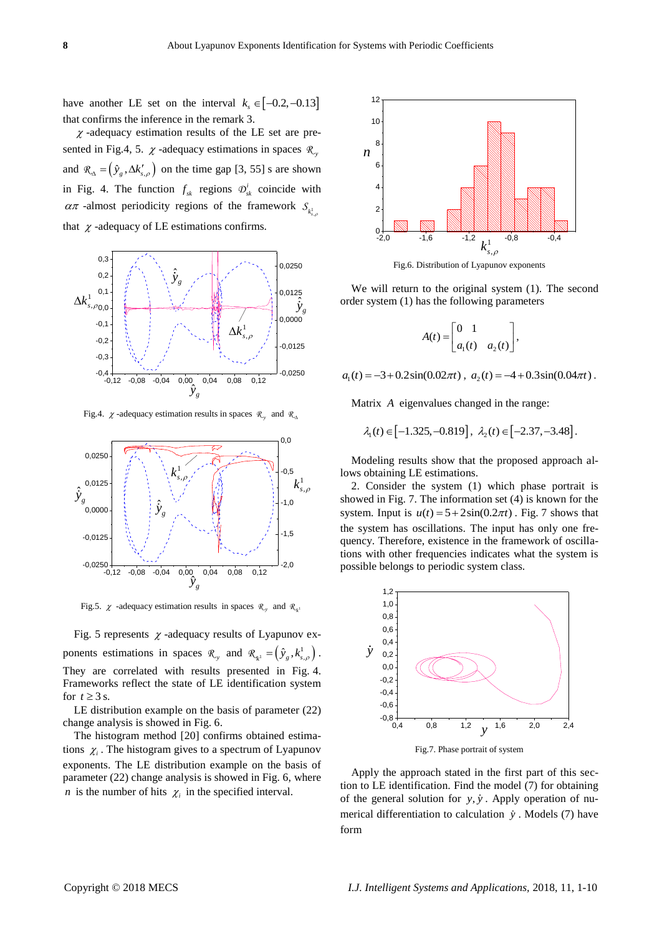have another LE set on the interval  $k_s \in [-0.2, -0.13]$ that confirms the inference in the remark 3.

 $\chi$ -adequacy estimation results of the LE set are presented in Fig.4, 5.  $\chi$  -adequacy estimations in spaces  $\mathcal{R}_y$ and  $\mathcal{R}_{\Delta} = (\hat{y}_g, \Delta k'_{s,\rho})$  on the time gap [3, 55] s are shown in Fig. 4. The function  $f_{sk}$  regions  $\mathcal{D}_{sk}^{i}$  coincide with  $\alpha \pi$  -almost periodicity regions of the framework  $S_{k_{s,\theta}^1}$ that  $\chi$  -adequacy of LE estimations confirms.



Fig.4.  $\chi$ -adequacy estimation results in spaces  $\mathcal{R}_{y}$  and  $\mathcal{R}_{\Delta}$ 



Fig.5.  $\chi$  -adequacy estimation results in spaces  $\mathcal{R}_{y}$  and  $\mathcal{R}_{\chi}$ 

Fig. 5 represents  $\chi$  -adequacy results of Lyapunov exponents estimations in spaces  $\mathcal{R}_y$  and  $\mathcal{R}_{\kappa^1} = (\hat{y}_g, k_{s,\rho}^1)$ . They are correlated with results presented in Fig. 4. Frameworks reflect the state of LE identification system for  $t \geq 3$  s.

LE distribution example on the basis of parameter (22) change analysis is showed in Fig. 6.

The histogram method [20] confirms obtained estimations  $\chi_i$ . The histogram gives to a spectrum of Lyapunov exponents. The LE distribution example on the basis of parameter (22) change analysis is showed in Fig. 6, where *n* is the number of hits  $\chi$ <sub>i</sub> in the specified interval.



Fig.6. Distribution of Lyapunov exponents

We will return to the original system (1). The second order system (1) has the following parameters

$$
A(t) = \begin{bmatrix} 0 & 1 \\ a_1(t) & a_2(t) \end{bmatrix},
$$

 $a_1(t) = -3 + 0.2\sin(0.02\pi t), \ a_2(t) = -4 + 0.3\sin(0.04\pi t).$ 

Matrix *A* eigenvalues changed in the range:

$$
\lambda_1(t) \in [-1.325, -0.819], \lambda_2(t) \in [-2.37, -3.48].
$$

Modeling results show that the proposed approach allows obtaining LE estimations.

2. Consider the system (1) which phase portrait is showed in Fig. 7. The information set (4) is known for the system. Input is  $u(t) = 5 + 2\sin(0.2\pi t)$ . Fig. 7 shows that the system has oscillations. The input has only one frequency. Therefore, existence in the framework of oscillations with other frequencies indicates what the system is possible belongs to periodic system class.



Apply the approach stated in the first part of this section to LE identification. Find the model (7) for obtaining of the general solution for  $y$ ,  $\dot{y}$ . Apply operation of numerical differentiation to calculation *y* . Models (7) have form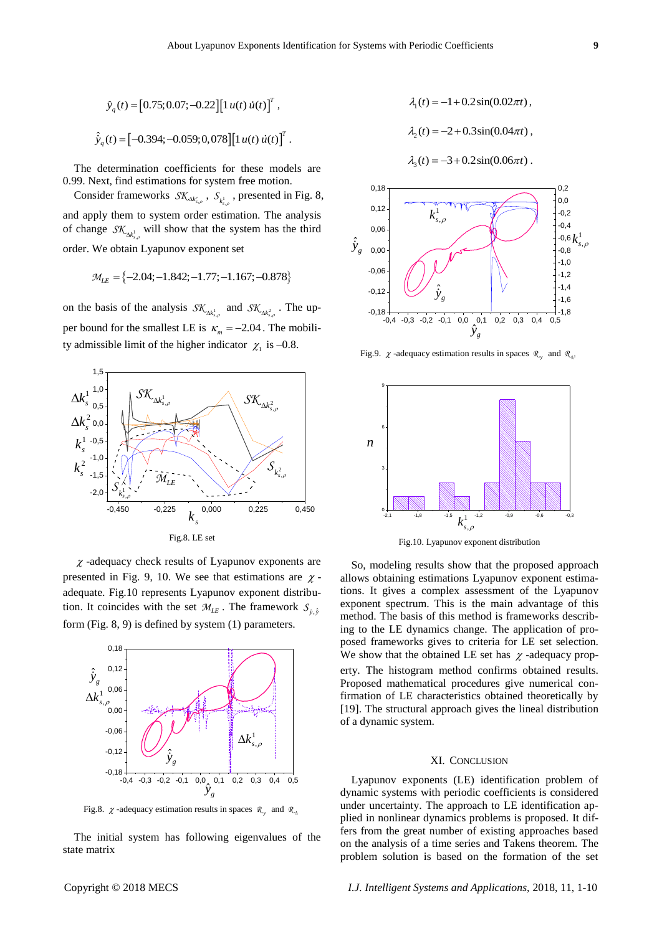$$
\hat{y}_q(t) = [0.75; 0.07; -0.22][1 u(t) u(t)]^T,
$$
  

$$
\hat{y}_q(t) = [-0.394; -0.059; 0, 078][1 u(t) u(t)]^T.
$$

The determination coefficients for these models are 0.99. Next, find estimations for system free motion.

Consider frameworks  $\mathcal{SK}_{\Delta k'_{s,\rho}}$ ,  $\mathcal{S}_{k^1_{s,\rho}}$ , presented in Fig. 8, and apply them to system order estimation. The analysis of change  $\mathcal{SK}_{\Delta k_{s,\rho}^{\perp}}$  will show that the system has the third order. We obtain Lyapunov exponent set

$$
\mathcal{M}_{LE} = \{-2.04; -1.842; -1.77; -1.167; -0.878\}
$$

on the basis of the analysis  $\mathcal{SK}_{\Delta k_{s,\rho}^1}$  and  $\mathcal{SK}_{\Delta k_{s,\rho}^2}$ . The upper bound for the smallest LE is  $\kappa_m = -2.04$ . The mobility admissible limit of the higher indicator  $\chi_1$  is -0.8.



 $\chi$ -adequacy check results of Lyapunov exponents are presented in Fig. 9, 10. We see that estimations are  $\chi$ adequate. Fig.10 represents Lyapunov exponent distribution. It coincides with the set  $\mathcal{M}_{LE}$ . The framework  $S_{\hat{y}, \hat{y}}$ form (Fig. 8, 9) is defined by system (1) parameters.



Fig.8.  $\chi$ -adequacy estimation results in spaces  $\mathcal{R}_{y}$  and  $\mathcal{R}_{\Delta}$ 

The initial system has following eigenvalues of the state matrix



Fig.9.  $\chi$ -adequacy estimation results in spaces  $\mathcal{R}_{\chi}$  and  $\mathcal{R}_{\chi}$ 



Fig.10. Lyapunov exponent distribution

So, modeling results show that the proposed approach allows obtaining estimations Lyapunov exponent estimations. It gives a complex assessment of the Lyapunov exponent spectrum. This is the main advantage of this method. The basis of this method is frameworks describing to the LE dynamics change. The application of proposed frameworks gives to criteria for LE set selection. We show that the obtained LE set has  $\chi$ -adequacy property. The histogram method confirms obtained results. Proposed mathematical procedures give numerical confirmation of LE characteristics obtained theoretically by [19]. The structural approach gives the lineal distribution of a dynamic system.

## XI. CONCLUSION

Lyapunov exponents (LE) identification problem of dynamic systems with periodic coefficients is considered under uncertainty. The approach to LE identification applied in nonlinear dynamics problems is proposed. It differs from the great number of existing approaches based on the analysis of a time series and Takens theorem. The problem solution is based on the formation of the set